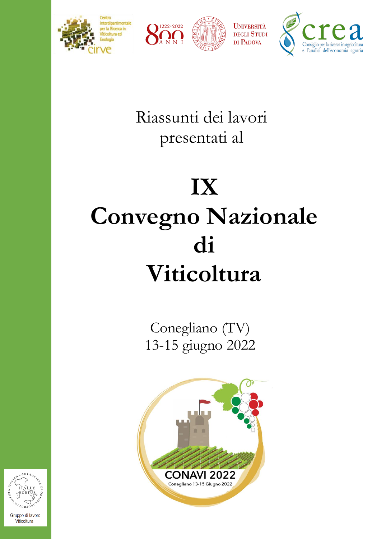





Riassunti dei lavori presentati al

## **IX Convegno Nazionale di Viticoltura**

Conegliano (TV) 13-15 giugno 2022





Viticoltura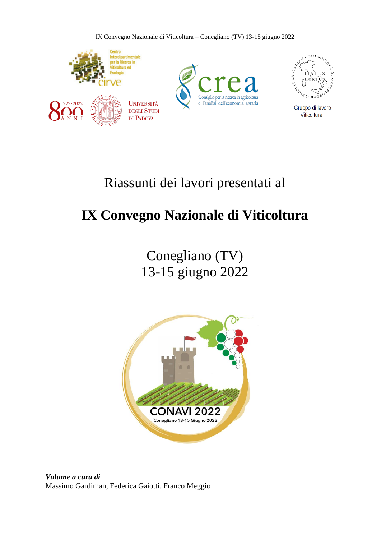IX Convegno Nazionale di Viticoltura – Conegliano (TV) 13-15 giugno 2022



## Riassunti dei lavori presentati al

## **IX Convegno Nazionale di Viticoltura**

Conegliano (TV) 13-15 giugno 2022



*Volume a cura di* Massimo Gardiman, Federica Gaiotti, Franco Meggio